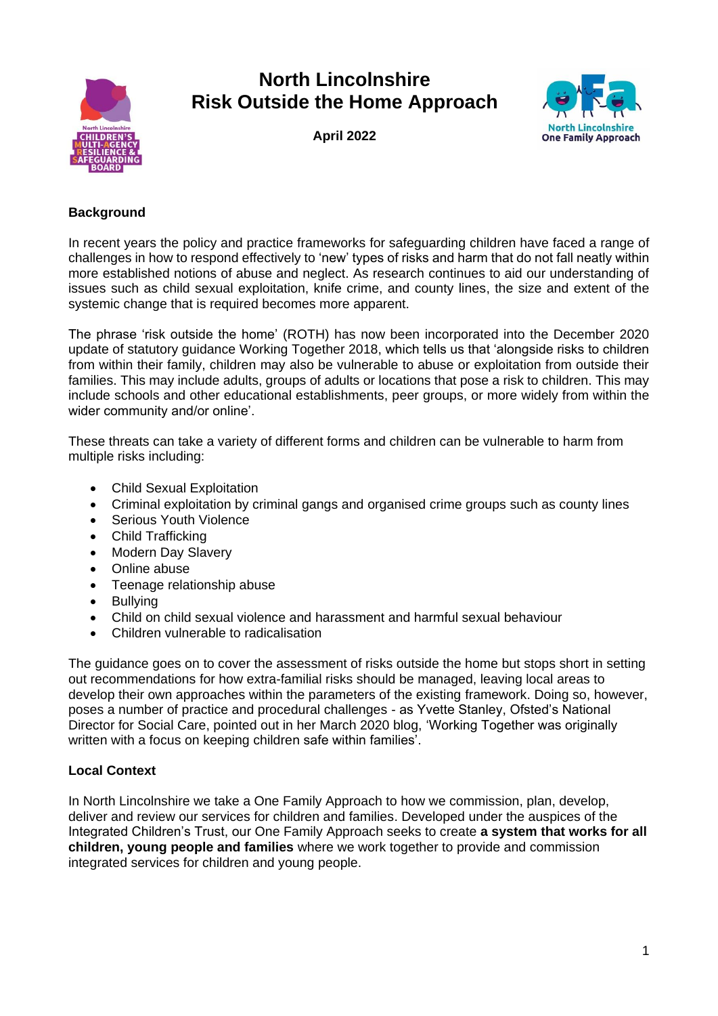

# **North Lincolnshire Risk Outside the Home Approach**

**April 2022**



## **Background**

In recent years the policy and practice frameworks for safeguarding children have faced a range of challenges in how to respond effectively to 'new' types of risks and harm that do not fall neatly within more established notions of abuse and neglect. As research continues to aid our understanding of issues such as child sexual exploitation, knife crime, and county lines, the size and extent of the systemic change that is required becomes more apparent.

The phrase 'risk outside the home' (ROTH) has now been incorporated into the December 2020 update of statutory guidance Working Together 2018, which tells us that 'alongside risks to children from within their family, children may also be vulnerable to abuse or exploitation from outside their families. This may include adults, groups of adults or locations that pose a risk to children. This may include schools and other educational establishments, peer groups, or more widely from within the wider community and/or online'.

These threats can take a variety of different forms and children can be vulnerable to harm from multiple risks including:

- Child Sexual Exploitation
- Criminal exploitation by criminal gangs and organised crime groups such as county lines
- Serious Youth Violence
- Child Trafficking
- Modern Day Slavery
- Online abuse
- Teenage relationship abuse
- Bullying
- Child on child sexual violence and harassment and harmful sexual behaviour
- Children vulnerable to radicalisation

The guidance goes on to cover the assessment of risks outside the home but stops short in setting out recommendations for how extra-familial risks should be managed, leaving local areas to develop their own approaches within the parameters of the existing framework. Doing so, however, poses a number of practice and procedural challenges - as Yvette Stanley, Ofsted's National Director for Social Care, pointed out in her March 2020 blog, 'Working Together was originally written with a focus on keeping children safe within families'.

#### **Local Context**

In North Lincolnshire we take a One Family Approach to how we commission, plan, develop, deliver and review our services for children and families. Developed under the auspices of the Integrated Children's Trust, our One Family Approach seeks to create **a system that works for all children, young people and families** where we work together to provide and commission integrated services for children and young people.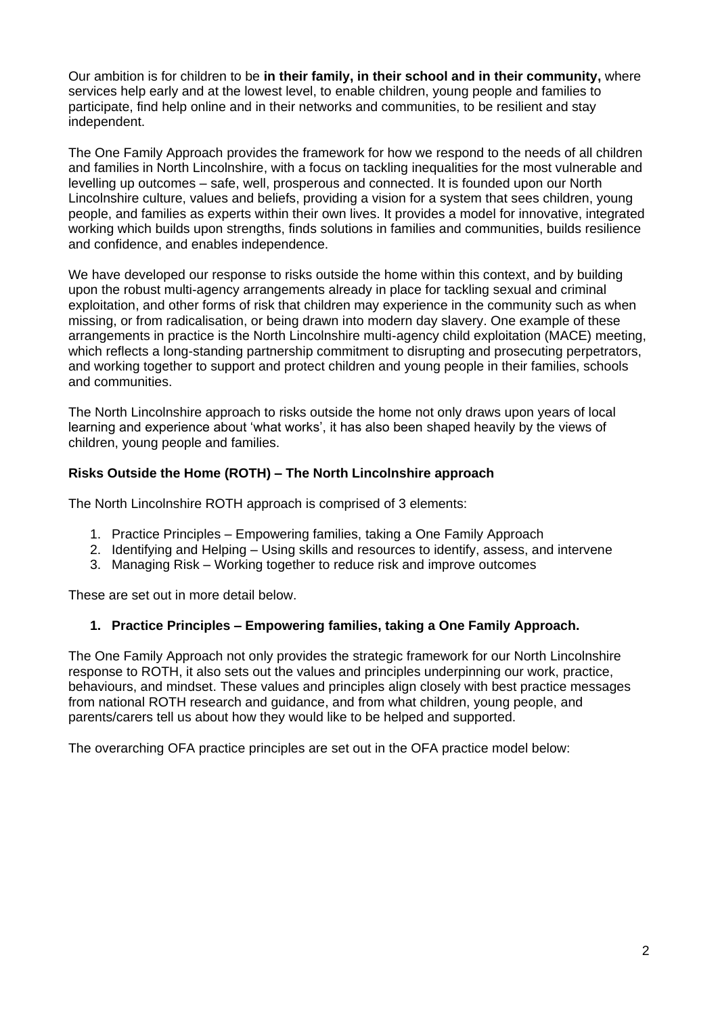Our ambition is for children to be **in their family, in their school and in their community,** where services help early and at the lowest level, to enable children, young people and families to participate, find help online and in their networks and communities, to be resilient and stay independent.

The One Family Approach provides the framework for how we respond to the needs of all children and families in North Lincolnshire, with a focus on tackling inequalities for the most vulnerable and levelling up outcomes – safe, well, prosperous and connected. It is founded upon our North Lincolnshire culture, values and beliefs, providing a vision for a system that sees children, young people, and families as experts within their own lives. It provides a model for innovative, integrated working which builds upon strengths, finds solutions in families and communities, builds resilience and confidence, and enables independence.

We have developed our response to risks outside the home within this context, and by building upon the robust multi-agency arrangements already in place for tackling sexual and criminal exploitation, and other forms of risk that children may experience in the community such as when missing, or from radicalisation, or being drawn into modern day slavery. One example of these arrangements in practice is the North Lincolnshire multi-agency child exploitation (MACE) meeting, which reflects a long-standing partnership commitment to disrupting and prosecuting perpetrators, and working together to support and protect children and young people in their families, schools and communities.

The North Lincolnshire approach to risks outside the home not only draws upon years of local learning and experience about 'what works', it has also been shaped heavily by the views of children, young people and families.

# **Risks Outside the Home (ROTH) – The North Lincolnshire approach**

The North Lincolnshire ROTH approach is comprised of 3 elements:

- 1. Practice Principles Empowering families, taking a One Family Approach
- 2. Identifying and Helping Using skills and resources to identify, assess, and intervene
- 3. Managing Risk Working together to reduce risk and improve outcomes

These are set out in more detail below.

#### **1. Practice Principles – Empowering families, taking a One Family Approach.**

The One Family Approach not only provides the strategic framework for our North Lincolnshire response to ROTH, it also sets out the values and principles underpinning our work, practice, behaviours, and mindset. These values and principles align closely with best practice messages from national ROTH research and guidance, and from what children, young people, and parents/carers tell us about how they would like to be helped and supported.

The overarching OFA practice principles are set out in the OFA practice model below: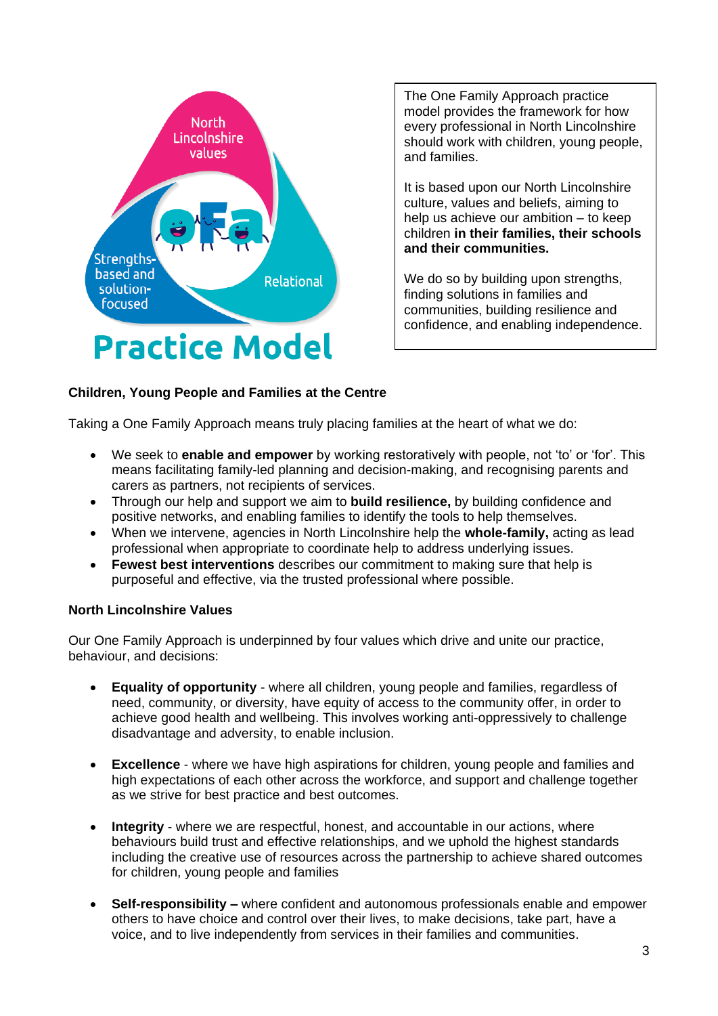

The One Family Approach practice model provides the framework for how every professional in North Lincolnshire should work with children, young people, and families.

It is based upon our North Lincolnshire culture, values and beliefs, aiming to help us achieve our ambition – to keep children **in their families, their schools and their communities.**

We do so by building upon strengths, finding solutions in families and communities, building resilience and confidence, and enabling independence.

#### **Children, Young People and Families at the Centre**

Taking a One Family Approach means truly placing families at the heart of what we do:

- We seek to **enable and empower** by working restoratively with people, not 'to' or 'for'. This means facilitating family-led planning and decision-making, and recognising parents and carers as partners, not recipients of services.
- Through our help and support we aim to **build resilience,** by building confidence and positive networks, and enabling families to identify the tools to help themselves.
- When we intervene, agencies in North Lincolnshire help the **whole-family,** acting as lead professional when appropriate to coordinate help to address underlying issues.
- **Fewest best interventions** describes our commitment to making sure that help is purposeful and effective, via the trusted professional where possible.

#### **North Lincolnshire Values**

Our One Family Approach is underpinned by four values which drive and unite our practice, behaviour, and decisions:

- **Equality of opportunity** where all children, young people and families, regardless of need, community, or diversity, have equity of access to the community offer, in order to achieve good health and wellbeing. This involves working anti-oppressively to challenge disadvantage and adversity, to enable inclusion.
- **Excellence** where we have high aspirations for children, young people and families and high expectations of each other across the workforce, and support and challenge together as we strive for best practice and best outcomes.
- **Integrity** where we are respectful, honest, and accountable in our actions, where behaviours build trust and effective relationships, and we uphold the highest standards including the creative use of resources across the partnership to achieve shared outcomes for children, young people and families
- **Self-responsibility –** where confident and autonomous professionals enable and empower others to have choice and control over their lives, to make decisions, take part, have a voice, and to live independently from services in their families and communities.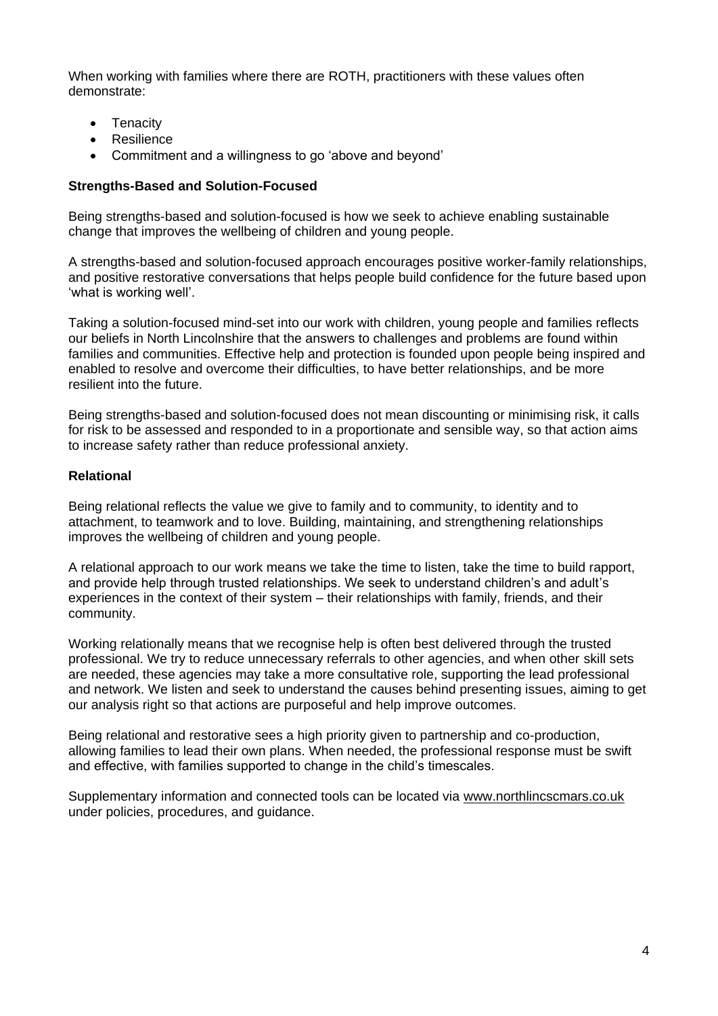When working with families where there are ROTH, practitioners with these values often demonstrate:

- Tenacity
- Resilience
- Commitment and a willingness to go 'above and beyond'

## **Strengths-Based and Solution-Focused**

Being strengths-based and solution-focused is how we seek to achieve enabling sustainable change that improves the wellbeing of children and young people.

A strengths-based and solution-focused approach encourages positive worker-family relationships, and positive restorative conversations that helps people build confidence for the future based upon 'what is working well'.

Taking a solution-focused mind-set into our work with children, young people and families reflects our beliefs in North Lincolnshire that the answers to challenges and problems are found within families and communities. Effective help and protection is founded upon people being inspired and enabled to resolve and overcome their difficulties, to have better relationships, and be more resilient into the future.

Being strengths-based and solution-focused does not mean discounting or minimising risk, it calls for risk to be assessed and responded to in a proportionate and sensible way, so that action aims to increase safety rather than reduce professional anxiety.

#### **Relational**

Being relational reflects the value we give to family and to community, to identity and to attachment, to teamwork and to love. Building, maintaining, and strengthening relationships improves the wellbeing of children and young people.

A relational approach to our work means we take the time to listen, take the time to build rapport, and provide help through trusted relationships. We seek to understand children's and adult's experiences in the context of their system – their relationships with family, friends, and their community.

Working relationally means that we recognise help is often best delivered through the trusted professional. We try to reduce unnecessary referrals to other agencies, and when other skill sets are needed, these agencies may take a more consultative role, supporting the lead professional and network. We listen and seek to understand the causes behind presenting issues, aiming to get our analysis right so that actions are purposeful and help improve outcomes.

Being relational and restorative sees a high priority given to partnership and co-production, allowing families to lead their own plans. When needed, the professional response must be swift and effective, with families supported to change in the child's timescales.

Supplementary information and connected tools can be located via [www.northlincscmars.co.uk](http://www.northlincscmars.co.uk/) under policies, procedures, and guidance.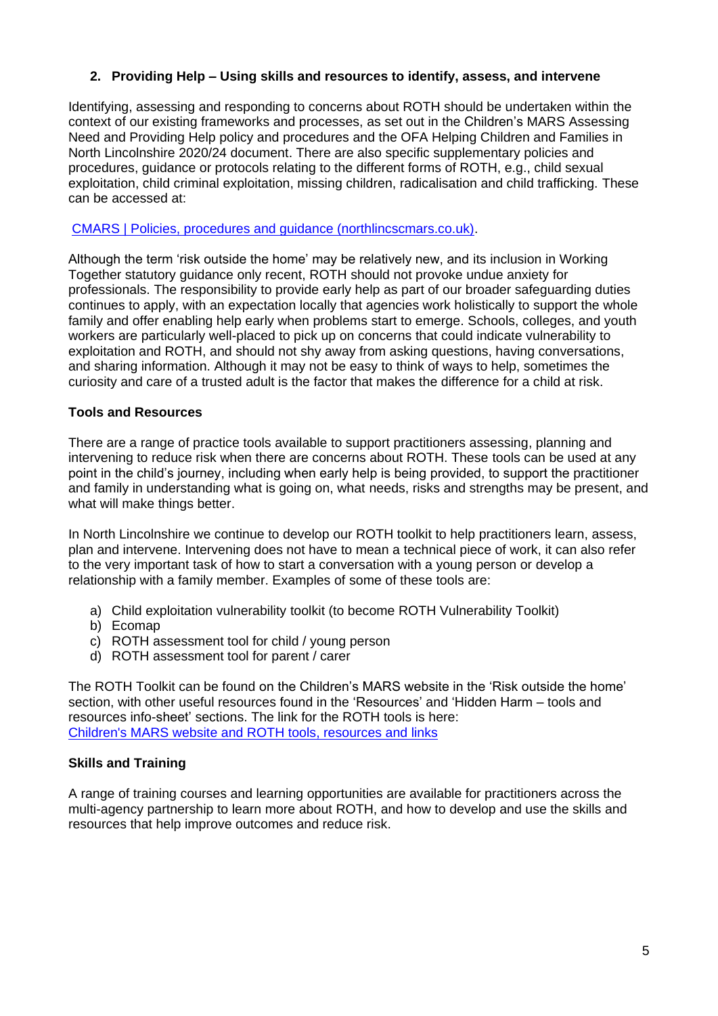# **2. Providing Help – Using skills and resources to identify, assess, and intervene**

Identifying, assessing and responding to concerns about ROTH should be undertaken within the context of our existing frameworks and processes, as set out in the Children's MARS Assessing Need and Providing Help policy and procedures and the OFA Helping Children and Families in North Lincolnshire 2020/24 document. There are also specific supplementary policies and procedures, guidance or protocols relating to the different forms of ROTH, e.g., child sexual exploitation, child criminal exploitation, missing children, radicalisation and child trafficking. These can be accessed at:

[CMARS | Policies, procedures and guidance \(northlincscmars.co.uk\).](https://www.northlincscmars.co.uk/policies-procedures-and-guidance/)

Although the term 'risk outside the home' may be relatively new, and its inclusion in Working Together statutory guidance only recent, ROTH should not provoke undue anxiety for professionals. The responsibility to provide early help as part of our broader safeguarding duties continues to apply, with an expectation locally that agencies work holistically to support the whole family and offer enabling help early when problems start to emerge. Schools, colleges, and youth workers are particularly well-placed to pick up on concerns that could indicate vulnerability to exploitation and ROTH, and should not shy away from asking questions, having conversations, and sharing information. Although it may not be easy to think of ways to help, sometimes the curiosity and care of a trusted adult is the factor that makes the difference for a child at risk.

#### **Tools and Resources**

There are a range of practice tools available to support practitioners assessing, planning and intervening to reduce risk when there are concerns about ROTH. These tools can be used at any point in the child's journey, including when early help is being provided, to support the practitioner and family in understanding what is going on, what needs, risks and strengths may be present, and what will make things better.

In North Lincolnshire we continue to develop our ROTH toolkit to help practitioners learn, assess, plan and intervene. Intervening does not have to mean a technical piece of work, it can also refer to the very important task of how to start a conversation with a young person or develop a relationship with a family member. Examples of some of these tools are:

- a) Child exploitation vulnerability toolkit (to become ROTH Vulnerability Toolkit)
- b) Ecomap
- c) ROTH assessment tool for child / young person
- d) ROTH assessment tool for parent / carer

The ROTH Toolkit can be found on the Children's MARS website in the 'Risk outside the home' section, with other useful resources found in the 'Resources' and 'Hidden Harm – tools and resources info-sheet' sections. The link for the ROTH tools is here: [Children's MARS website and ROTH tools, resources and links](https://www.northlincscmars.co.uk/resources/)

#### **Skills and Training**

A range of training courses and learning opportunities are available for practitioners across the multi-agency partnership to learn more about ROTH, and how to develop and use the skills and resources that help improve outcomes and reduce risk.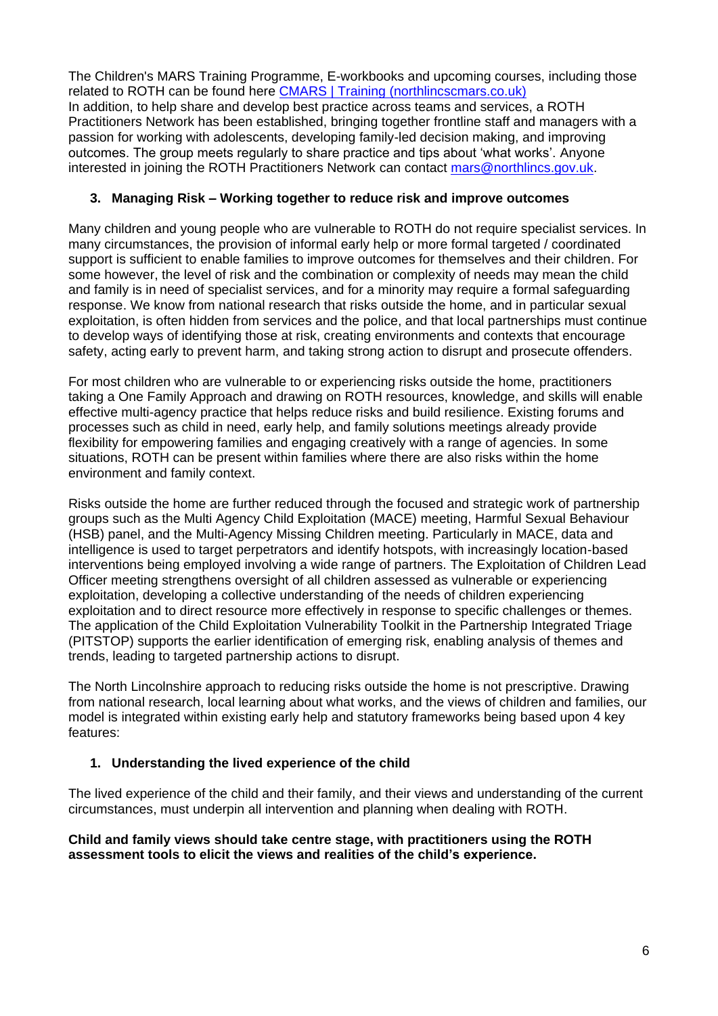The Children's MARS Training Programme, E-workbooks and upcoming courses, including those related to ROTH can be found here [CMARS | Training \(northlincscmars.co.uk\)](https://www.northlincscmars.co.uk/training/) In addition, to help share and develop best practice across teams and services, a ROTH Practitioners Network has been established, bringing together frontline staff and managers with a passion for working with adolescents, developing family-led decision making, and improving outcomes. The group meets regularly to share practice and tips about 'what works'. Anyone interested in joining the ROTH Practitioners Network can contact [mars@northlincs.gov.uk.](mailto:mars@northlincs.gov.uk)

# **3. Managing Risk – Working together to reduce risk and improve outcomes**

Many children and young people who are vulnerable to ROTH do not require specialist services. In many circumstances, the provision of informal early help or more formal targeted / coordinated support is sufficient to enable families to improve outcomes for themselves and their children. For some however, the level of risk and the combination or complexity of needs may mean the child and family is in need of specialist services, and for a minority may require a formal safeguarding response. We know from national research that risks outside the home, and in particular sexual exploitation, is often hidden from services and the police, and that local partnerships must continue to develop ways of identifying those at risk, creating environments and contexts that encourage safety, acting early to prevent harm, and taking strong action to disrupt and prosecute offenders.

For most children who are vulnerable to or experiencing risks outside the home, practitioners taking a One Family Approach and drawing on ROTH resources, knowledge, and skills will enable effective multi-agency practice that helps reduce risks and build resilience. Existing forums and processes such as child in need, early help, and family solutions meetings already provide flexibility for empowering families and engaging creatively with a range of agencies. In some situations, ROTH can be present within families where there are also risks within the home environment and family context.

Risks outside the home are further reduced through the focused and strategic work of partnership groups such as the Multi Agency Child Exploitation (MACE) meeting, Harmful Sexual Behaviour (HSB) panel, and the Multi-Agency Missing Children meeting. Particularly in MACE, data and intelligence is used to target perpetrators and identify hotspots, with increasingly location-based interventions being employed involving a wide range of partners. The Exploitation of Children Lead Officer meeting strengthens oversight of all children assessed as vulnerable or experiencing exploitation, developing a collective understanding of the needs of children experiencing exploitation and to direct resource more effectively in response to specific challenges or themes. The application of the Child Exploitation Vulnerability Toolkit in the Partnership Integrated Triage (PITSTOP) supports the earlier identification of emerging risk, enabling analysis of themes and trends, leading to targeted partnership actions to disrupt.

The North Lincolnshire approach to reducing risks outside the home is not prescriptive. Drawing from national research, local learning about what works, and the views of children and families, our model is integrated within existing early help and statutory frameworks being based upon 4 key features:

# **1. Understanding the lived experience of the child**

The lived experience of the child and their family, and their views and understanding of the current circumstances, must underpin all intervention and planning when dealing with ROTH.

## **Child and family views should take centre stage, with practitioners using the ROTH assessment tools to elicit the views and realities of the child's experience.**